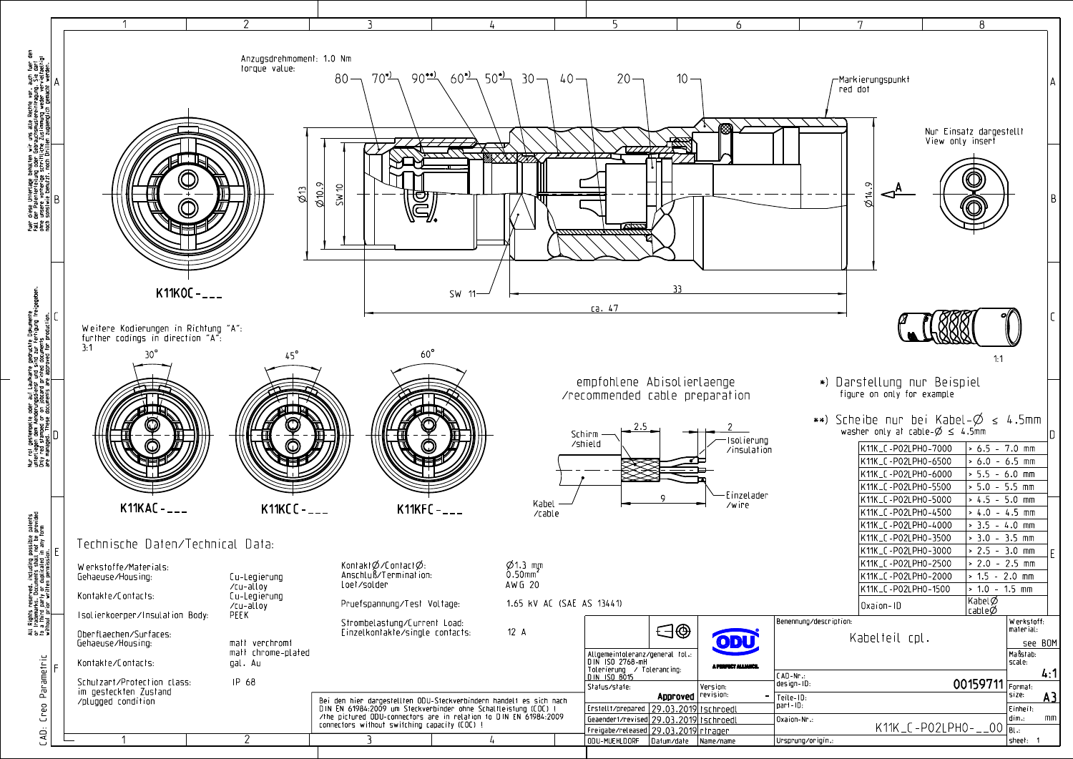

|                       | 6                              | 7                                          | 8                                                                                                   |           |
|-----------------------|--------------------------------|--------------------------------------------|-----------------------------------------------------------------------------------------------------|-----------|
|                       |                                |                                            |                                                                                                     |           |
|                       |                                |                                            |                                                                                                     |           |
|                       | $10 -$                         | Aarkierungspunkt                           |                                                                                                     |           |
|                       |                                | red dot                                    |                                                                                                     |           |
|                       |                                |                                            |                                                                                                     |           |
|                       |                                |                                            |                                                                                                     |           |
|                       |                                |                                            | Nur Einsatz dargestellt<br>View only inserf                                                         |           |
|                       |                                |                                            |                                                                                                     |           |
|                       |                                |                                            |                                                                                                     |           |
|                       |                                | $\sigma$                                   |                                                                                                     |           |
|                       |                                | $\frac{1}{2}$                              |                                                                                                     | B         |
|                       |                                |                                            |                                                                                                     |           |
|                       |                                |                                            |                                                                                                     |           |
|                       |                                |                                            |                                                                                                     |           |
|                       |                                |                                            |                                                                                                     |           |
|                       |                                |                                            |                                                                                                     |           |
| 33                    |                                |                                            |                                                                                                     |           |
|                       |                                |                                            |                                                                                                     |           |
|                       |                                |                                            |                                                                                                     |           |
|                       |                                |                                            |                                                                                                     |           |
|                       |                                |                                            | 1:1                                                                                                 |           |
|                       |                                |                                            |                                                                                                     |           |
|                       | bisolierlaenge                 | *) Darstellung nur Beispiel                |                                                                                                     |           |
|                       | able preparation               | figure on only for example                 |                                                                                                     |           |
|                       |                                |                                            |                                                                                                     |           |
|                       |                                |                                            | **) Scheibe nur bei Kabel- $\emptyset \leq 4.5$ mm<br>washer only at cable- $\emptyset \leq 4.5$ mm | D         |
|                       | -Isolierung<br>/insulation     | K11K_C-P02LPH0-7000                        | $\sim 6.5 - 7.0$ mm                                                                                 |           |
|                       |                                | K11K_C-P02LPH0-6500                        | $\sim 6.0 - 6.5$ mm                                                                                 |           |
|                       |                                | K11K_C-P02LPH0-6000                        | $\sim 5.5 - 6.0$ mm                                                                                 |           |
|                       |                                | K11K_C-P02LPH0-5500                        | $> 5.0 - 5.5$ mm                                                                                    |           |
| 9                     | – Einzelader<br>/wire          | K11K_C-P02LPH0-5000                        | $\vert$ > 4.5 - 5.0 mm                                                                              |           |
|                       |                                | K11K_C-P02LPH0-4500                        | $> 4.0 - 4.5$ mm                                                                                    |           |
|                       |                                | K11K_C-P02LPH0-4000                        | $\sim$ 3.5 - 4.0 mm                                                                                 |           |
|                       |                                | K11K_C-P02LPH0-3500                        | $> 3.0 - 3.5$ mm                                                                                    |           |
|                       |                                | K11K_C-P02LPH0-3000<br>K11K_C-P02LPH0-2500 | $> 2.5 - 3.0$ mm<br>$> 2.0 - 2.5$ mm                                                                |           |
|                       |                                | K11K_C-P02LPH0-2000                        | $\vert$ > 1.5 - 2.0 mm                                                                              |           |
|                       |                                | K11K_C-P02LPH0-1500                        | $\sim 1.0 - 1.5$ mm                                                                                 |           |
|                       |                                | Oxaion-ID                                  | Kabel∅<br> cable∅                                                                                   |           |
|                       |                                | Benennung/description:                     | $\vert$ W erkstoff:                                                                                 |           |
| $\bigoplus \bigoplus$ |                                | Kabelteil cpl.                             | $ $ material:                                                                                       |           |
|                       | ODU                            |                                            | see BOM                                                                                             |           |
| $eneral$ tol $\ldots$ | A PERFECT ALLIANCE.            |                                            | Maßstab:<br>scale:                                                                                  |           |
| rancing:              |                                | CAD-Nr.:                                   |                                                                                                     | 4:1       |
|                       | Version:<br>Approved revision: | design-ID:                                 | 00159711 Format:<br>size:                                                                           |           |
|                       | <u>9.03.2019 tschroedl</u>     | $=$ Teile-ID:<br>part-ID:                  | $ $ Einheit:                                                                                        | <u>A3</u> |
|                       | <u>9.03.2019 tschroedl!</u>    | $\vert$ Oxaion-Nr.:                        | dim.:                                                                                               | m         |
|                       | <u>9.03.2019 rtrager:</u>      |                                            | K11K_C-P02LPH0-__00 $\frac{1}{B1}$                                                                  |           |
|                       | atum/date Name/name            | Ursprung/origin.:                          | sheet: 1                                                                                            |           |